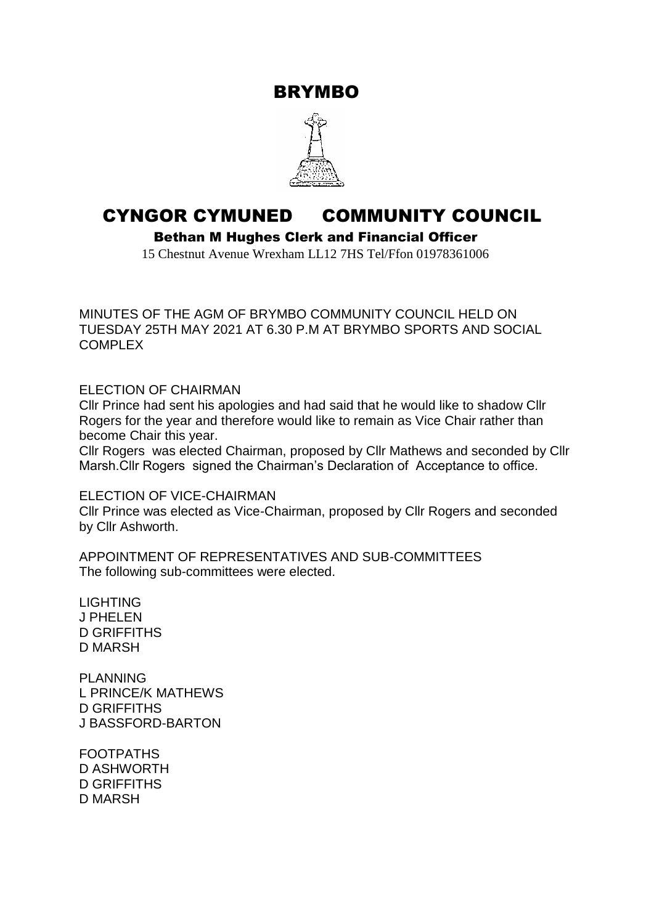BRYMBO



## CYNGOR CYMUNED COMMUNITY COUNCIL

Bethan M Hughes Clerk and Financial Officer

15 Chestnut Avenue Wrexham LL12 7HS Tel/Ffon 01978361006

MINUTES OF THE AGM OF BRYMBO COMMUNITY COUNCIL HELD ON TUESDAY 25TH MAY 2021 AT 6.30 P.M AT BRYMBO SPORTS AND SOCIAL **COMPLEX** 

ELECTION OF CHAIRMAN

Cllr Prince had sent his apologies and had said that he would like to shadow Cllr Rogers for the year and therefore would like to remain as Vice Chair rather than become Chair this year.

Cllr Rogers was elected Chairman, proposed by Cllr Mathews and seconded by Cllr Marsh.Cllr Rogers signed the Chairman's Declaration of Acceptance to office.

ELECTION OF VICE-CHAIRMAN

Cllr Prince was elected as Vice-Chairman, proposed by Cllr Rogers and seconded by Cllr Ashworth.

APPOINTMENT OF REPRESENTATIVES AND SUB-COMMITTEES The following sub-committees were elected.

LIGHTING J PHELEN D GRIFFITHS D MARSH

PLANNING L PRINCE/K MATHEWS D GRIFFITHS J BASSFORD-BARTON

FOOTPATHS D ASHWORTH D GRIFFITHS D MARSH